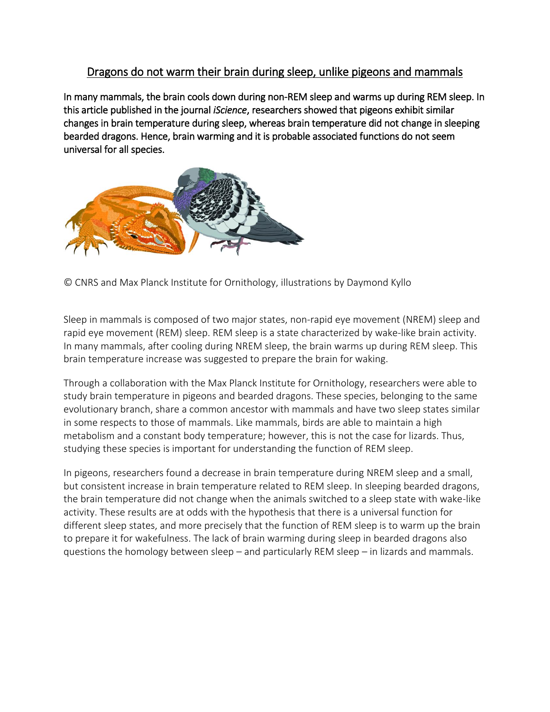# Dragons do not warm their brain during sleep, unlike pigeons and mammals

In many mammals, the brain cools down during non-REM sleep and warms up during REM sleep. In this article published in the journal *iScience*, researchers showed that pigeons exhibit similar changes in brain temperature during sleep, whereas brain temperature did not change in sleeping bearded dragons. Hence, brain warming and it is probable associated functions do not seem universal for all species.



© CNRS and Max Planck Institute for Ornithology, illustrations by Daymond Kyllo

Sleep in mammals is composed of two major states, non-rapid eye movement (NREM) sleep and rapid eye movement (REM) sleep. REM sleep is a state characterized by wake-like brain activity. In many mammals, after cooling during NREM sleep, the brain warms up during REM sleep. This brain temperature increase was suggested to prepare the brain for waking.

Through a collaboration with the Max Planck Institute for Ornithology, researchers were able to study brain temperature in pigeons and bearded dragons. These species, belonging to the same evolutionary branch, share a common ancestor with mammals and have two sleep states similar in some respects to those of mammals. Like mammals, birds are able to maintain a high metabolism and a constant body temperature; however, this is not the case for lizards. Thus, studying these species is important for understanding the function of REM sleep.

In pigeons, researchers found a decrease in brain temperature during NREM sleep and a small, but consistent increase in brain temperature related to REM sleep. In sleeping bearded dragons, the brain temperature did not change when the animals switched to a sleep state with wake-like activity. These results are at odds with the hypothesis that there is a universal function for different sleep states, and more precisely that the function of REM sleep is to warm up the brain to prepare it for wakefulness. The lack of brain warming during sleep in bearded dragons also questions the homology between sleep – and particularly REM sleep – in lizards and mammals.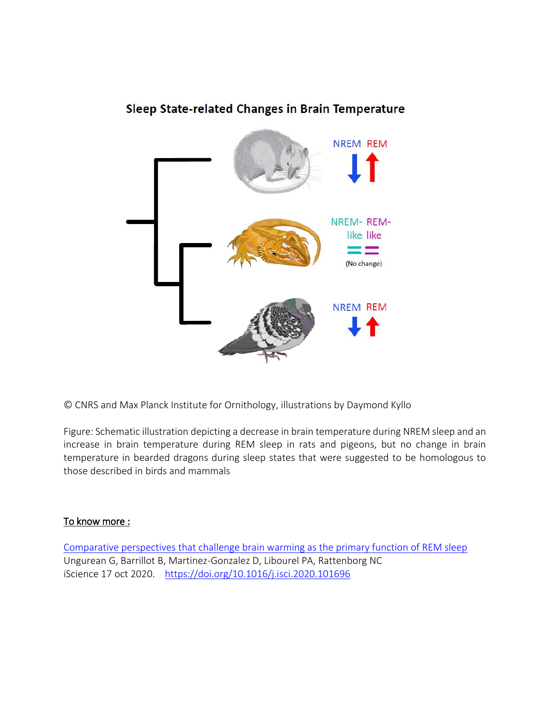# Sleep State-related Changes in Brain Temperature



© CNRS and Max Planck Institute for Ornithology, illustrations by Daymond Kyllo

Figure: Schematic illustration depicting a decrease in brain temperature during NREM sleep and an increase in brain temperature during REM sleep in rats and pigeons, but no change in brain temperature in bearded dragons during sleep states that were suggested to be homologous to those described in birds and mammals

## To know more :

[Comparative perspectives that challenge brain warming as the primary function of REM sleep](https://www.sciencedirect.com/science/article/pii/S2589004220308889?via%3Dihub) Ungurean G, Barrillot B, Martinez-Gonzalez D, Libourel PA, Rattenborg NC iScience 17 oct 2020. <https://doi.org/10.1016/j.isci.2020.101696>